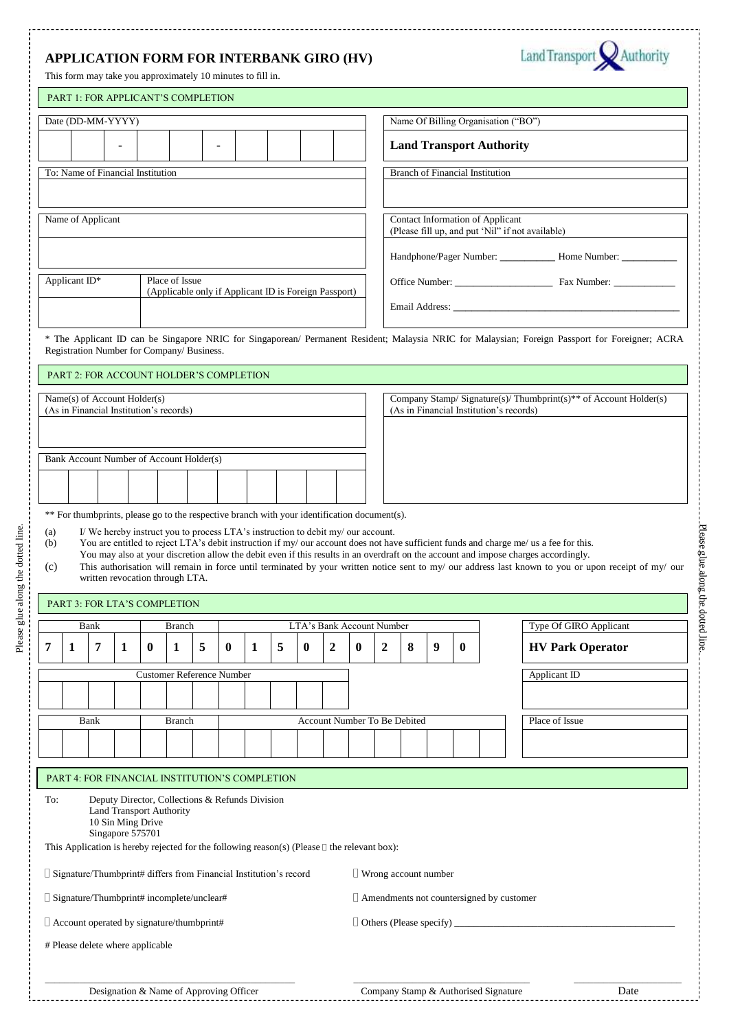## **APPLICATION FORM FOR INTERBANK GIRO (HV)**



This form may take you approximately 10 minutes to fill in.

| <b>PART 1: FOR APPLICANT'S COMPLETION</b> |                                       |                                                                                                                                                                                                                                                                                                                                |                |          |   |   |          |   |          |                                                 |                                         |          |  |                                                  |                |                         |                                                                   |
|-------------------------------------------|---------------------------------------|--------------------------------------------------------------------------------------------------------------------------------------------------------------------------------------------------------------------------------------------------------------------------------------------------------------------------------|----------------|----------|---|---|----------|---|----------|-------------------------------------------------|-----------------------------------------|----------|--|--------------------------------------------------|----------------|-------------------------|-------------------------------------------------------------------|
| Date (DD-MM-YYYY)                         |                                       |                                                                                                                                                                                                                                                                                                                                |                |          |   |   |          |   |          |                                                 | Name Of Billing Organisation ("BO")     |          |  |                                                  |                |                         |                                                                   |
|                                           |                                       |                                                                                                                                                                                                                                                                                                                                | $\blacksquare$ |          |   |   |          |   |          |                                                 | <b>Land Transport Authority</b>         |          |  |                                                  |                |                         |                                                                   |
| To: Name of Financial Institution         |                                       |                                                                                                                                                                                                                                                                                                                                |                |          |   |   |          |   |          |                                                 | <b>Branch of Financial Institution</b>  |          |  |                                                  |                |                         |                                                                   |
|                                           |                                       |                                                                                                                                                                                                                                                                                                                                |                |          |   |   |          |   |          |                                                 |                                         |          |  |                                                  |                |                         |                                                                   |
| Name of Applicant                         |                                       |                                                                                                                                                                                                                                                                                                                                |                |          |   |   |          |   |          |                                                 | <b>Contact Information of Applicant</b> |          |  |                                                  |                |                         |                                                                   |
|                                           |                                       |                                                                                                                                                                                                                                                                                                                                |                |          |   |   |          |   |          |                                                 |                                         |          |  | (Please fill up, and put 'Nil" if not available) |                |                         |                                                                   |
|                                           |                                       |                                                                                                                                                                                                                                                                                                                                |                |          |   |   |          |   |          |                                                 |                                         |          |  |                                                  |                |                         | Handphone/Pager Number: ______________ Home Number: ____________  |
| Applicant ID*                             |                                       | Place of Issue                                                                                                                                                                                                                                                                                                                 |                |          |   |   |          |   |          |                                                 |                                         |          |  |                                                  |                |                         |                                                                   |
|                                           |                                       | (Applicable only if Applicant ID is Foreign Passport)                                                                                                                                                                                                                                                                          |                |          |   |   |          |   |          |                                                 |                                         |          |  |                                                  |                |                         |                                                                   |
|                                           |                                       |                                                                                                                                                                                                                                                                                                                                |                |          |   |   |          |   |          |                                                 |                                         |          |  |                                                  |                |                         |                                                                   |
|                                           |                                       | * The Applicant ID can be Singapore NRIC for Singaporean/ Permanent Resident; Malaysia NRIC for Malaysian; Foreign Passport for Foreigner; ACRA<br>Registration Number for Company/ Business.                                                                                                                                  |                |          |   |   |          |   |          |                                                 |                                         |          |  |                                                  |                |                         |                                                                   |
|                                           |                                       | PART 2: FOR ACCOUNT HOLDER'S COMPLETION                                                                                                                                                                                                                                                                                        |                |          |   |   |          |   |          |                                                 |                                         |          |  |                                                  |                |                         |                                                                   |
| Name(s) of Account Holder(s)              |                                       |                                                                                                                                                                                                                                                                                                                                |                |          |   |   |          |   |          |                                                 |                                         |          |  |                                                  |                |                         | Company Stamp/ Signature(s)/ Thumbprint(s)** of Account Holder(s) |
|                                           |                                       | (As in Financial Institution's records)                                                                                                                                                                                                                                                                                        |                |          |   |   |          |   |          |                                                 | (As in Financial Institution's records) |          |  |                                                  |                |                         |                                                                   |
|                                           |                                       |                                                                                                                                                                                                                                                                                                                                |                |          |   |   |          |   |          |                                                 |                                         |          |  |                                                  |                |                         |                                                                   |
|                                           |                                       | Bank Account Number of Account Holder(s)                                                                                                                                                                                                                                                                                       |                |          |   |   |          |   |          |                                                 |                                         |          |  |                                                  |                |                         |                                                                   |
|                                           |                                       |                                                                                                                                                                                                                                                                                                                                |                |          |   |   |          |   |          |                                                 |                                         |          |  |                                                  |                |                         |                                                                   |
|                                           |                                       |                                                                                                                                                                                                                                                                                                                                |                |          |   |   |          |   |          |                                                 |                                         |          |  |                                                  |                |                         |                                                                   |
|                                           |                                       | ** For thumbprints, please go to the respective branch with your identification document(s).<br>I/We hereby instruct you to process LTA's instruction to debit my/our account.<br>You are entitled to reject LTA's debit instruction if my/ our account does not have sufficient funds and charge me/ us a fee for this.       |                |          |   |   |          |   |          |                                                 |                                         |          |  |                                                  |                |                         |                                                                   |
|                                           |                                       | You may also at your discretion allow the debit even if this results in an overdraft on the account and impose charges accordingly.<br>This authorisation will remain in force until terminated by your written notice sent to my/ our address last known to you or upon receipt of my/ our<br>written revocation through LTA. |                |          |   |   |          |   |          |                                                 |                                         |          |  |                                                  |                |                         |                                                                   |
| (a)<br>(b)<br>(c)                         |                                       | PART 3: FOR LTA'S COMPLETION                                                                                                                                                                                                                                                                                                   |                |          |   |   |          |   |          |                                                 |                                         |          |  |                                                  |                |                         |                                                                   |
| Bank                                      |                                       | <b>Branch</b>                                                                                                                                                                                                                                                                                                                  |                |          |   |   |          |   |          | LTA's Bank Account Number                       |                                         |          |  |                                                  |                | Type Of GIRO Applicant  |                                                                   |
| 7<br>1                                    | 1                                     | $\bf{0}$<br>1                                                                                                                                                                                                                                                                                                                  | 5              | $\bf{0}$ | 1 | 5 | $\bf{0}$ | 2 | $\bf{0}$ | 2                                               | 8<br>9                                  | $\bf{0}$ |  |                                                  |                | <b>HV Park Operator</b> |                                                                   |
|                                           |                                       | <b>Customer Reference Number</b>                                                                                                                                                                                                                                                                                               |                |          |   |   |          |   |          |                                                 |                                         |          |  |                                                  | Applicant ID   |                         |                                                                   |
|                                           |                                       |                                                                                                                                                                                                                                                                                                                                |                |          |   |   |          |   |          |                                                 |                                         |          |  |                                                  |                |                         |                                                                   |
| Bank                                      |                                       | <b>Branch</b>                                                                                                                                                                                                                                                                                                                  |                |          |   |   |          |   |          | Account Number To Be Debited                    |                                         |          |  |                                                  | Place of Issue |                         |                                                                   |
|                                           |                                       |                                                                                                                                                                                                                                                                                                                                |                |          |   |   |          |   |          |                                                 |                                         |          |  |                                                  |                |                         |                                                                   |
|                                           |                                       |                                                                                                                                                                                                                                                                                                                                |                |          |   |   |          |   |          |                                                 |                                         |          |  |                                                  |                |                         |                                                                   |
|                                           |                                       | PART 4: FOR FINANCIAL INSTITUTION'S COMPLETION                                                                                                                                                                                                                                                                                 |                |          |   |   |          |   |          |                                                 |                                         |          |  |                                                  |                |                         |                                                                   |
|                                           |                                       | Deputy Director, Collections & Refunds Division<br><b>Land Transport Authority</b>                                                                                                                                                                                                                                             |                |          |   |   |          |   |          |                                                 |                                         |          |  |                                                  |                |                         |                                                                   |
|                                           | 10 Sin Ming Drive<br>Singapore 575701 |                                                                                                                                                                                                                                                                                                                                |                |          |   |   |          |   |          |                                                 |                                         |          |  |                                                  |                |                         |                                                                   |
|                                           |                                       | This Application is hereby rejected for the following reason(s) (Please $\square$ the relevant box):                                                                                                                                                                                                                           |                |          |   |   |          |   |          |                                                 |                                         |          |  |                                                  |                |                         |                                                                   |
|                                           |                                       | □ Signature/Thumbprint# differs from Financial Institution's record                                                                                                                                                                                                                                                            |                |          |   |   |          |   |          | $\Box$ Wrong account number                     |                                         |          |  |                                                  |                |                         |                                                                   |
|                                           |                                       | $\Box$ Signature/Thumbprint# incomplete/unclear#                                                                                                                                                                                                                                                                               |                |          |   |   |          |   |          | $\Box$ Amendments not countersigned by customer |                                         |          |  |                                                  |                |                         |                                                                   |
| 7<br>To:                                  |                                       | $\Box$ Account operated by signature/thumbprint#                                                                                                                                                                                                                                                                               |                |          |   |   |          |   |          |                                                 |                                         |          |  |                                                  |                |                         |                                                                   |
| # Please delete where applicable          |                                       |                                                                                                                                                                                                                                                                                                                                |                |          |   |   |          |   |          |                                                 |                                         |          |  |                                                  |                |                         |                                                                   |
|                                           |                                       |                                                                                                                                                                                                                                                                                                                                |                |          |   |   |          |   |          |                                                 |                                         |          |  |                                                  |                |                         |                                                                   |